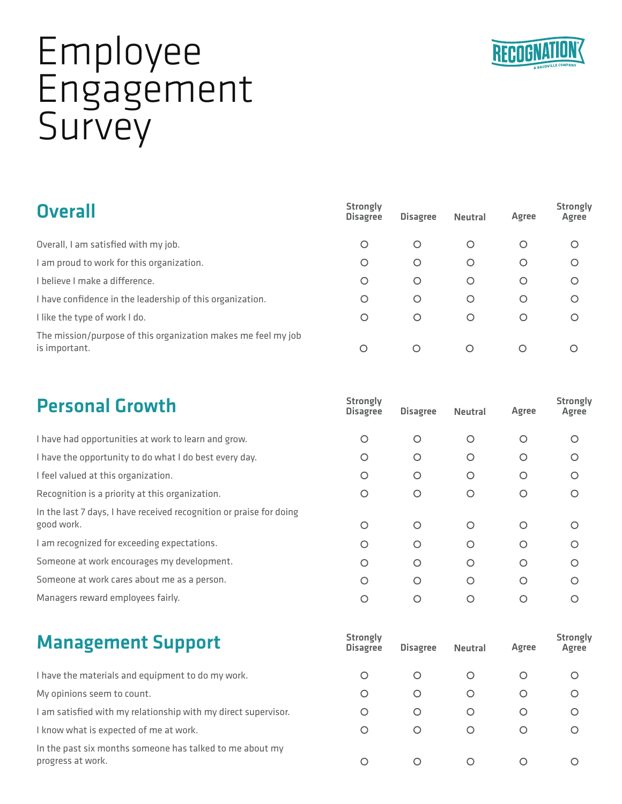

## Employee Engagement **Survey**

## **Overall**

| <b>Overall</b>                                                                 | <b>Strongly</b><br><b>Disagree</b> | <b>Disagree</b> | <b>Neutral</b> | Agree   | <b>Strongly</b><br>Agree |
|--------------------------------------------------------------------------------|------------------------------------|-----------------|----------------|---------|--------------------------|
| Overall, I am satisfied with my job.                                           | O                                  | O               | O              | O       | O                        |
| I am proud to work for this organization.                                      | O                                  | O               | O              | O       | $\circ$                  |
| I believe I make a difference.                                                 | O                                  | O               | O              | $\circ$ | $\circ$                  |
| I have confidence in the leadership of this organization.                      | O                                  | O               | O              | $\circ$ | $\circ$                  |
| I like the type of work I do.                                                  | O                                  | O               | O              | $\circ$ | $\circ$                  |
| The mission/purpose of this organization makes me feel my job<br>is important. | $\circ$                            | $\circ$         | $\circ$        | ∩       |                          |

| <b>Personal Growth</b>                                                            | <b>Strongly</b><br><b>Disagree</b> | <b>Disagree</b> | <b>Neutral</b> | Agree   | <b>Strongly</b><br>Agree |
|-----------------------------------------------------------------------------------|------------------------------------|-----------------|----------------|---------|--------------------------|
| I have had opportunities at work to learn and grow.                               | O                                  | O               | $\circ$        | $\circ$ | Ω                        |
| I have the opportunity to do what I do best every day.                            | O                                  | O               | $\circ$        | ∩       | O                        |
| I feel valued at this organization.                                               | Ο                                  | O               | O              | O       | O                        |
| Recognition is a priority at this organization.                                   | O                                  | O               | О              |         |                          |
| In the last 7 days, I have received recognition or praise for doing<br>good work. | O                                  | Ο               | O              | ∩       | ∩                        |
| I am recognized for exceeding expectations.                                       | Ο                                  | O               | $\circ$        | O       | Ω                        |
| Someone at work encourages my development.                                        | O                                  | O               | O              | ∩       | Ω                        |
| Someone at work cares about me as a person.                                       | O                                  | O               | O              | ∩       | ∩                        |
| Managers reward employees fairly.                                                 | ∩                                  |                 | O              |         |                          |

| <b>Management Support</b>                                                     | <b>Strongly</b><br><b>Disagree</b> | <b>Disagree</b> | <b>Neutral</b> | Agree            | <b>Strongly</b><br>Agree |
|-------------------------------------------------------------------------------|------------------------------------|-----------------|----------------|------------------|--------------------------|
| I have the materials and equipment to do my work.                             | O                                  | O               | O              | $\cup$           | $\circ$                  |
| My opinions seem to count.                                                    | O                                  | O               | O              | Ő                | $\circ$                  |
| I am satisfied with my relationship with my direct supervisor.                | O                                  | O               | O              | $\cup$           | $\circ$                  |
| I know what is expected of me at work.                                        | O                                  | O               | O              | $\left( \right)$ | $\circ$                  |
| In the past six months someone has talked to me about my<br>progress at work. | Ω                                  |                 |                |                  |                          |